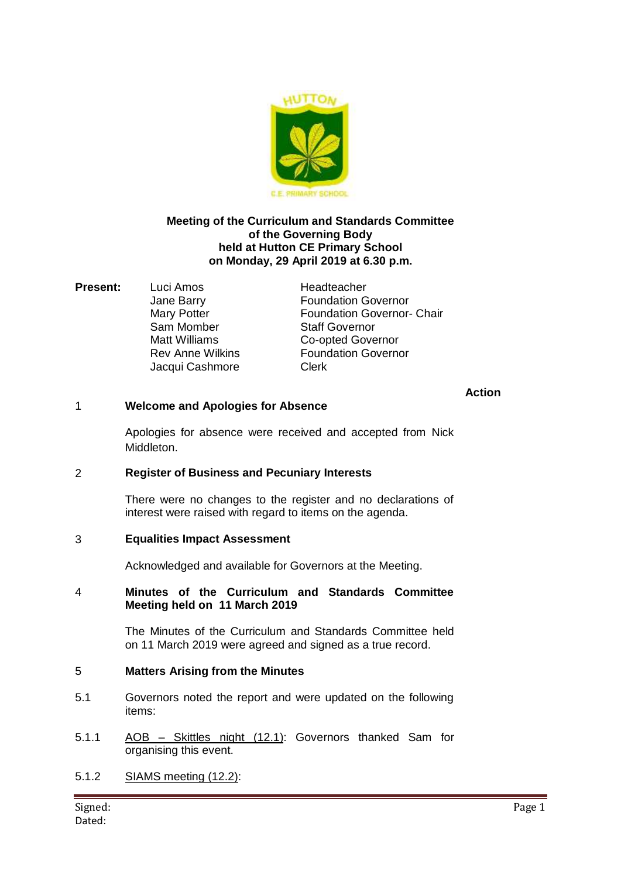

## **Meeting of the Curriculum and Standards Committee of the Governing Body held at Hutton CE Primary School on Monday, 29 April 2019 at 6.30 p.m.**

**Present:** Luci Amos Headteacher Sam Momber

Jane Barry Foundation Governor Mary Potter **Foundation Governor- Chair**<br>
Sam Momber Staff Governor Matt Williams Co-opted Governor Rev Anne Wilkins **Foundation Governor** Jacqui Cashmore Clerk

## **Action**

## 1 **Welcome and Apologies for Absence**

Apologies for absence were received and accepted from Nick Middleton.

## 2 **Register of Business and Pecuniary Interests**

There were no changes to the register and no declarations of interest were raised with regard to items on the agenda.

## 3 **Equalities Impact Assessment**

Acknowledged and available for Governors at the Meeting.

### 4 **Minutes of the Curriculum and Standards Committee Meeting held on 11 March 2019**

The Minutes of the Curriculum and Standards Committee held on 11 March 2019 were agreed and signed as a true record.

## 5 **Matters Arising from the Minutes**

- 5.1 Governors noted the report and were updated on the following items:
- 5.1.1 AOB Skittles night (12.1): Governors thanked Sam for organising this event.
- 5.1.2 SIAMS meeting (12.2):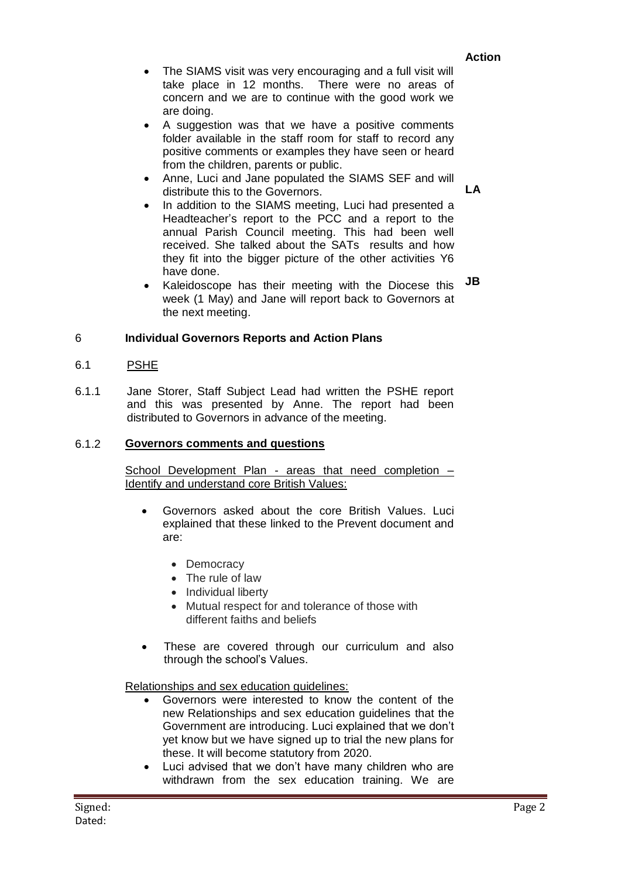**LA**

- The SIAMS visit was very encouraging and a full visit will take place in 12 months. There were no areas of concern and we are to continue with the good work we are doing.
- A suggestion was that we have a positive comments folder available in the staff room for staff to record any positive comments or examples they have seen or heard from the children, parents or public.
- Anne, Luci and Jane populated the SIAMS SEF and will distribute this to the Governors.
- In addition to the SIAMS meeting, Luci had presented a Headteacher's report to the PCC and a report to the annual Parish Council meeting. This had been well received. She talked about the SATs results and how they fit into the bigger picture of the other activities Y6 have done.
- Kaleidoscope has their meeting with the Diocese this week (1 May) and Jane will report back to Governors at the next meeting. **JB**

# 6 **Individual Governors Reports and Action Plans**

## 6.1 PSHE

6.1.1 Jane Storer, Staff Subject Lead had written the PSHE report and this was presented by Anne. The report had been distributed to Governors in advance of the meeting.

## 6.1.2 **Governors comments and questions**

School Development Plan - areas that need completion – Identify and understand core British Values:

- Governors asked about the core British Values. Luci explained that these linked to the Prevent document and are:
	- Democracy
	- The rule of law
	- Individual liberty
	- Mutual respect for and tolerance of those with different faiths and beliefs
- These are covered through our curriculum and also through the school's Values.

## Relationships and sex education guidelines:

- Governors were interested to know the content of the new Relationships and sex education guidelines that the Government are introducing. Luci explained that we don't yet know but we have signed up to trial the new plans for these. It will become statutory from 2020.
- Luci advised that we don't have many children who are withdrawn from the sex education training. We are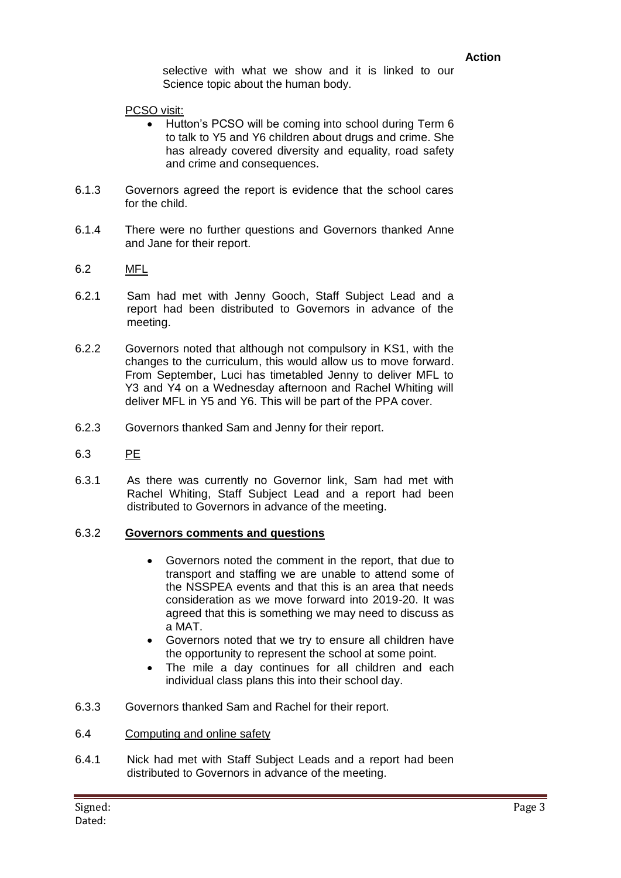selective with what we show and it is linked to our Science topic about the human body.

#### PCSO visit:

- Hutton's PCSO will be coming into school during Term 6 to talk to Y5 and Y6 children about drugs and crime. She has already covered diversity and equality, road safety and crime and consequences.
- 6.1.3 Governors agreed the report is evidence that the school cares for the child.
- 6.1.4 There were no further questions and Governors thanked Anne and Jane for their report.
- 6.2 MFL
- 6.2.1 Sam had met with Jenny Gooch, Staff Subject Lead and a report had been distributed to Governors in advance of the meeting.
- 6.2.2 Governors noted that although not compulsory in KS1, with the changes to the curriculum, this would allow us to move forward. From September, Luci has timetabled Jenny to deliver MFL to Y3 and Y4 on a Wednesday afternoon and Rachel Whiting will deliver MFL in Y5 and Y6. This will be part of the PPA cover.
- 6.2.3 Governors thanked Sam and Jenny for their report.
- 6.3 PE
- 6.3.1 As there was currently no Governor link, Sam had met with Rachel Whiting, Staff Subject Lead and a report had been distributed to Governors in advance of the meeting.

#### 6.3.2 **Governors comments and questions**

- Governors noted the comment in the report, that due to transport and staffing we are unable to attend some of the NSSPEA events and that this is an area that needs consideration as we move forward into 2019-20. It was agreed that this is something we may need to discuss as a MAT.
- Governors noted that we try to ensure all children have the opportunity to represent the school at some point.
- The mile a day continues for all children and each individual class plans this into their school day.
- 6.3.3 Governors thanked Sam and Rachel for their report.
- 6.4 Computing and online safety
- 6.4.1 Nick had met with Staff Subject Leads and a report had been distributed to Governors in advance of the meeting.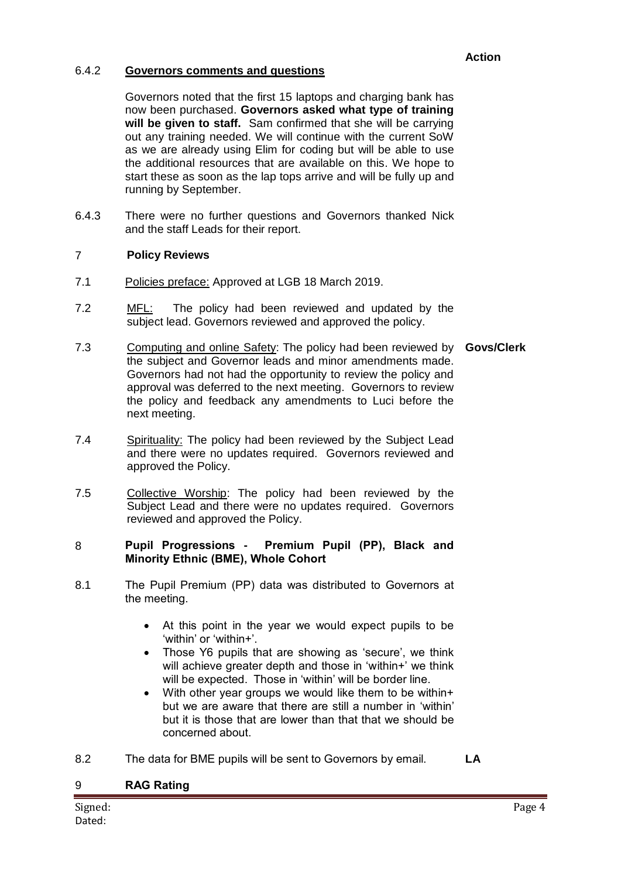## **Action**

## 6.4.2 **Governors comments and questions**

Governors noted that the first 15 laptops and charging bank has now been purchased. **Governors asked what type of training will be given to staff.** Sam confirmed that she will be carrying out any training needed. We will continue with the current SoW as we are already using Elim for coding but will be able to use the additional resources that are available on this. We hope to start these as soon as the lap tops arrive and will be fully up and running by September.

6.4.3 There were no further questions and Governors thanked Nick and the staff Leads for their report.

## 7 **Policy Reviews**

- 7.1 Policies preface: Approved at LGB 18 March 2019.
- 7.2 MFL: The policy had been reviewed and updated by the subject lead. Governors reviewed and approved the policy.
- 7.3 Computing and online Safety: The policy had been reviewed by **Govs/Clerk** the subject and Governor leads and minor amendments made. Governors had not had the opportunity to review the policy and approval was deferred to the next meeting. Governors to review the policy and feedback any amendments to Luci before the next meeting.
- 7.4 Spirituality: The policy had been reviewed by the Subject Lead and there were no updates required. Governors reviewed and approved the Policy.
- 7.5 Collective Worship: The policy had been reviewed by the Subject Lead and there were no updates required. Governors reviewed and approved the Policy.

### 8 **Pupil Progressions - Premium Pupil (PP), Black and Minority Ethnic (BME), Whole Cohort**

- 8.1 The Pupil Premium (PP) data was distributed to Governors at the meeting.
	- At this point in the year we would expect pupils to be 'within' or 'within+'.
	- Those Y6 pupils that are showing as 'secure', we think will achieve greater depth and those in 'within+' we think will be expected. Those in 'within' will be border line.
	- With other year groups we would like them to be within+ but we are aware that there are still a number in 'within' but it is those that are lower than that that we should be concerned about.
- 8.2 The data for BME pupils will be sent to Governors by email. **LA**

| 9       | <b>RAG Rating</b> |        |
|---------|-------------------|--------|
| Signed: |                   | Page 4 |
| Dated:  |                   |        |